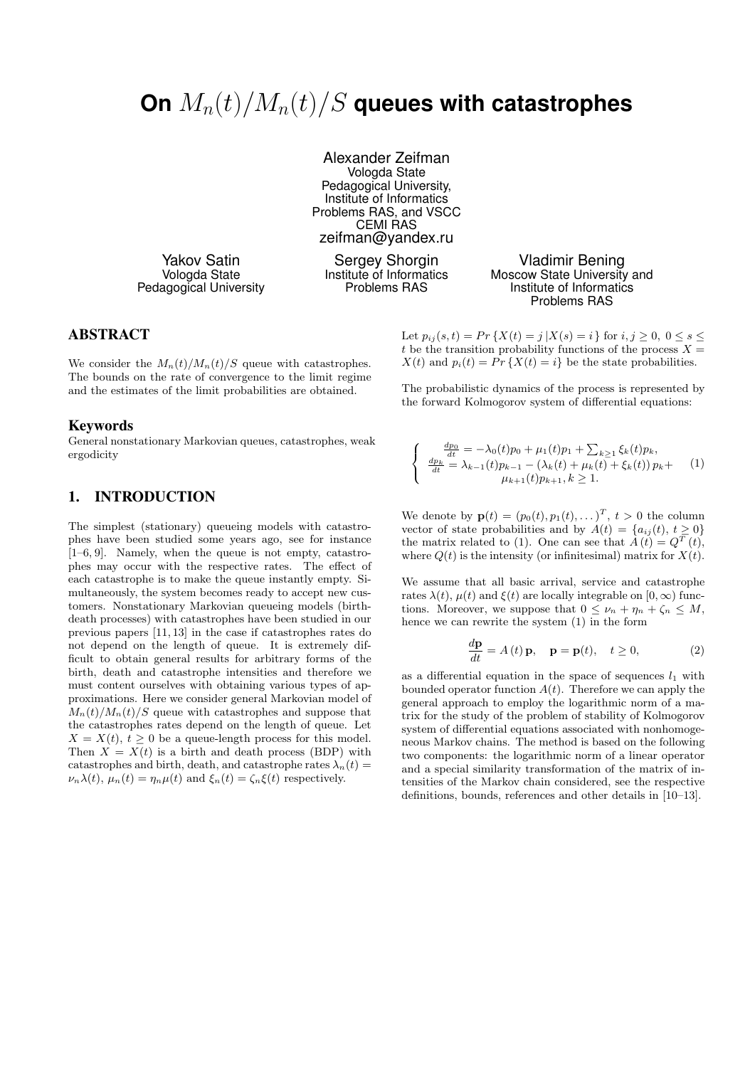# On  $M_n(t)/M_n(t)/S$  queues with catastrophes

Alexander Zeifman Vologda State Pedagogical University, Institute of Informatics Problems RAS, and VSCC CEMI RAS zeifman@yandex.ru

Yakov Satin Vologda State Pedagogical University

Sergey Shorgin Institute of Informatics Problems RAS

#### Vladimir Bening Moscow State University and Institute of Informatics Problems RAS

ABSTRACT

We consider the  $M_n(t)/M_n(t)/S$  queue with catastrophes. The bounds on the rate of convergence to the limit regime and the estimates of the limit probabilities are obtained.

#### Keywords

General nonstationary Markovian queues, catastrophes, weak ergodicity

## 1. INTRODUCTION

The simplest (stationary) queueing models with catastrophes have been studied some years ago, see for instance [1–6, 9]. Namely, when the queue is not empty, catastrophes may occur with the respective rates. The effect of each catastrophe is to make the queue instantly empty. Simultaneously, the system becomes ready to accept new customers. Nonstationary Markovian queueing models (birthdeath processes) with catastrophes have been studied in our previous papers [11, 13] in the case if catastrophes rates do not depend on the length of queue. It is extremely difficult to obtain general results for arbitrary forms of the birth, death and catastrophe intensities and therefore we must content ourselves with obtaining various types of approximations. Here we consider general Markovian model of  $M_n(t)/M_n(t)/S$  queue with catastrophes and suppose that the catastrophes rates depend on the length of queue. Let  $X = X(t)$ ,  $t \geq 0$  be a queue-length process for this model. Then  $X = X(t)$  is a birth and death process (BDP) with catastrophes and birth, death, and catastrophe rates  $\lambda_n(t)$  =  $\nu_n\lambda(t)$ ,  $\mu_n(t) = \eta_n\mu(t)$  and  $\xi_n(t) = \zeta_n\xi(t)$  respectively.

Let  $p_{ij}(s,t) = Pr\{X(t) = j | X(s) = i\}$  for  $i, j \ge 0, 0 \le s \le$ t be the transition probability functions of the process  $X =$  $X(t)$  and  $p_i(t) = Pr\{X(t) = i\}$  be the state probabilities.

The probabilistic dynamics of the process is represented by the forward Kolmogorov system of differential equations:

$$
\begin{cases}\n\frac{dp_0}{dt} = -\lambda_0(t)p_0 + \mu_1(t)p_1 + \sum_{k \ge 1} \xi_k(t)p_k, \\
\frac{dp_k}{dt} = \lambda_{k-1}(t)p_{k-1} - (\lambda_k(t) + \mu_k(t) + \xi_k(t))p_k + \\
\mu_{k+1}(t)p_{k+1}, k \ge 1.\n\end{cases} (1)
$$

We denote by  $\mathbf{p}(t) = (p_0(t), p_1(t), \dots)^T, t > 0$  the column vector of state probabilities and by  $A(t) = \{a_{ij}(t), t \geq 0\}$ the matrix related to (1). One can see that  $A(t) = Q<sup>T</sup>(t)$ , where  $Q(t)$  is the intensity (or infinitesimal) matrix for  $X(t)$ .

We assume that all basic arrival, service and catastrophe rates  $\lambda(t)$ ,  $\mu(t)$  and  $\xi(t)$  are locally integrable on  $[0,\infty)$  functions. Moreover, we suppose that  $0 \leq \nu_n + \eta_n + \zeta_n \leq M$ , hence we can rewrite the system (1) in the form

$$
\frac{d\mathbf{p}}{dt} = A(t)\mathbf{p}, \quad \mathbf{p} = \mathbf{p}(t), \quad t \ge 0,
$$
 (2)

as a differential equation in the space of sequences  $l_1$  with bounded operator function  $A(t)$ . Therefore we can apply the general approach to employ the logarithmic norm of a matrix for the study of the problem of stability of Kolmogorov system of differential equations associated with nonhomogeneous Markov chains. The method is based on the following two components: the logarithmic norm of a linear operator and a special similarity transformation of the matrix of intensities of the Markov chain considered, see the respective definitions, bounds, references and other details in [10–13].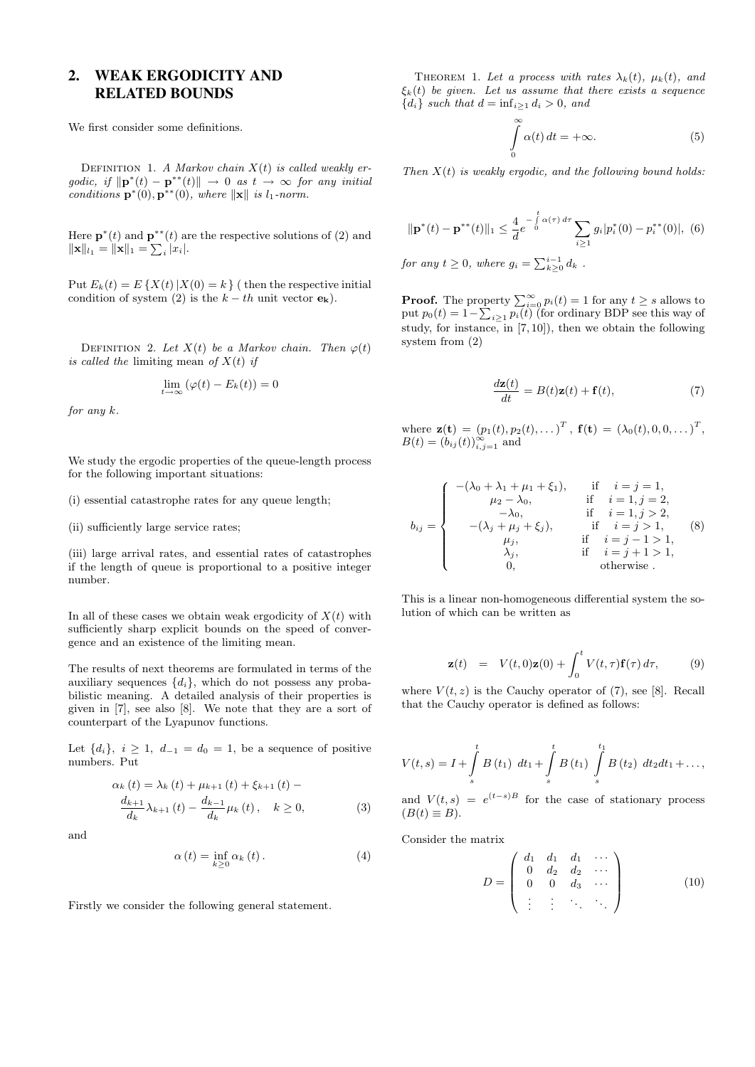# 2. WEAK ERGODICITY AND RELATED BOUNDS

We first consider some definitions.

DEFINITION 1. A Markov chain  $X(t)$  is called weakly ergodic, if  $\|\mathbf{p}^*(t) - \mathbf{p}^{**}(t)\| \to 0$  as  $t \to \infty$  for any initial conditions  $\mathbf{p}^*(0), \mathbf{p}^{**}(0)$ , where  $\|\mathbf{x}\|$  is l<sub>1</sub>-norm.

Here  $\mathbf{p}^*(t)$  and  $\mathbf{p}^{**}(t)$  are the respective solutions of (2) and  $\|\mathbf{x}\|_{l_1} = \|\mathbf{x}\|_1 = \sum_i |x_i|.$ 

Put  $E_k(t) = E\left\{X(t) | X(0) = k\right\}$  (then the respective initial condition of system (2) is the  $k - th$  unit vector  $\mathbf{e}_k$ ).

DEFINITION 2. Let  $X(t)$  be a Markov chain. Then  $\varphi(t)$ is called the limiting mean of  $X(t)$  if

$$
\lim_{t \to \infty} (\varphi(t) - E_k(t)) = 0
$$

for any k.

We study the ergodic properties of the queue-length process for the following important situations:

- (i) essential catastrophe rates for any queue length;
- (ii) sufficiently large service rates;

(iii) large arrival rates, and essential rates of catastrophes if the length of queue is proportional to a positive integer number.

In all of these cases we obtain weak ergodicity of  $X(t)$  with sufficiently sharp explicit bounds on the speed of convergence and an existence of the limiting mean.

The results of next theorems are formulated in terms of the auxiliary sequences  $\{d_i\}$ , which do not possess any probabilistic meaning. A detailed analysis of their properties is given in [7], see also [8]. We note that they are a sort of counterpart of the Lyapunov functions.

Let  $\{d_i\}, i \geq 1, d_{-1} = d_0 = 1$ , be a sequence of positive numbers. Put

$$
\alpha_{k}(t) = \lambda_{k}(t) + \mu_{k+1}(t) + \xi_{k+1}(t) -
$$
  

$$
\frac{d_{k+1}}{d_{k}} \lambda_{k+1}(t) - \frac{d_{k-1}}{d_{k}} \mu_{k}(t), \quad k \ge 0,
$$
 (3)

and

$$
\alpha(t) = \inf_{k \geq 0} \alpha_k(t). \tag{4}
$$

Firstly we consider the following general statement.

THEOREM 1. Let a process with rates  $\lambda_k(t)$ ,  $\mu_k(t)$ , and  $\xi_k(t)$  be given. Let us assume that there exists a sequence  ${d_i}$  such that  $d = \inf_{i>1} d_i > 0$ , and

$$
\int_{0}^{\infty} \alpha(t) dt = +\infty.
$$
 (5)

Then  $X(t)$  is weakly ergodic, and the following bound holds:

$$
\|\mathbf{p}^*(t) - \mathbf{p}^{**}(t)\|_1 \le \frac{4}{d} e^{-\int_0^t \alpha(\tau) d\tau} \sum_{i \ge 1} g_i |p_i^*(0) - p_i^{**}(0)|, \tag{6}
$$
  
for any  $t \ge 0$ , where  $g_i = \sum_{k \ge 0}^{i-1} d_k$ .

**Proof.** The property  $\sum_{i=0}^{\infty} p_i(t) = 1$  for any  $t \geq s$  allows to put  $p_0(t) = 1 - \sum_{i \geq 1} p_i(t)$  (for ordinary BDP see this way of study, for instance, in  $(7, 10)$ , then we obtain the following system from (2)

$$
\frac{d\mathbf{z}(t)}{dt} = B(t)\mathbf{z}(t) + \mathbf{f}(t),\tag{7}
$$

where  $\mathbf{z}(\mathbf{t}) = (p_1(t), p_2(t), \dots)^T$ ,  $\mathbf{f}(\mathbf{t}) = (\lambda_0(t), 0, 0, \dots)^T$ ,  $B(t) = (b_{ij}(t))_{i,j=1}^{\infty}$  and

$$
b_{ij} = \begin{cases}\n-(\lambda_0 + \lambda_1 + \mu_1 + \xi_1), & \text{if } i = j = 1, \\
\mu_2 - \lambda_0, & \text{if } i = 1, j = 2, \\
-\lambda_0, & \text{if } i = 1, j > 2, \\
-(\lambda_j + \mu_j + \xi_j), & \text{if } i = j > 1, \\
\mu_j, & \text{if } i = j - 1 > 1, \\
\lambda_j, & \text{if } i = j + 1 > 1, \\
0, & \text{otherwise}\n\end{cases}
$$
\n(8)

This is a linear non-homogeneous differential system the solution of which can be written as

$$
\mathbf{z}(t) = V(t,0)\mathbf{z}(0) + \int_0^t V(t,\tau)\mathbf{f}(\tau) d\tau, \qquad (9)
$$

where  $V(t, z)$  is the Cauchy operator of (7), see [8]. Recall that the Cauchy operator is defined as follows:

$$
V(t,s) = I + \int_{s}^{t} B(t_1) dt_1 + \int_{s}^{t} B(t_1) \int_{s}^{t_1} B(t_2) dt_2 dt_1 + \dots,
$$

and  $V(t,s) = e^{(t-s)B}$  for the case of stationary process  $(B(t) \equiv B).$ 

Consider the matrix

$$
D = \left(\begin{array}{cccc} d_1 & d_1 & d_1 & \cdots \\ 0 & d_2 & d_2 & \cdots \\ 0 & 0 & d_3 & \cdots \\ \vdots & \vdots & \ddots & \ddots \end{array}\right) (10)
$$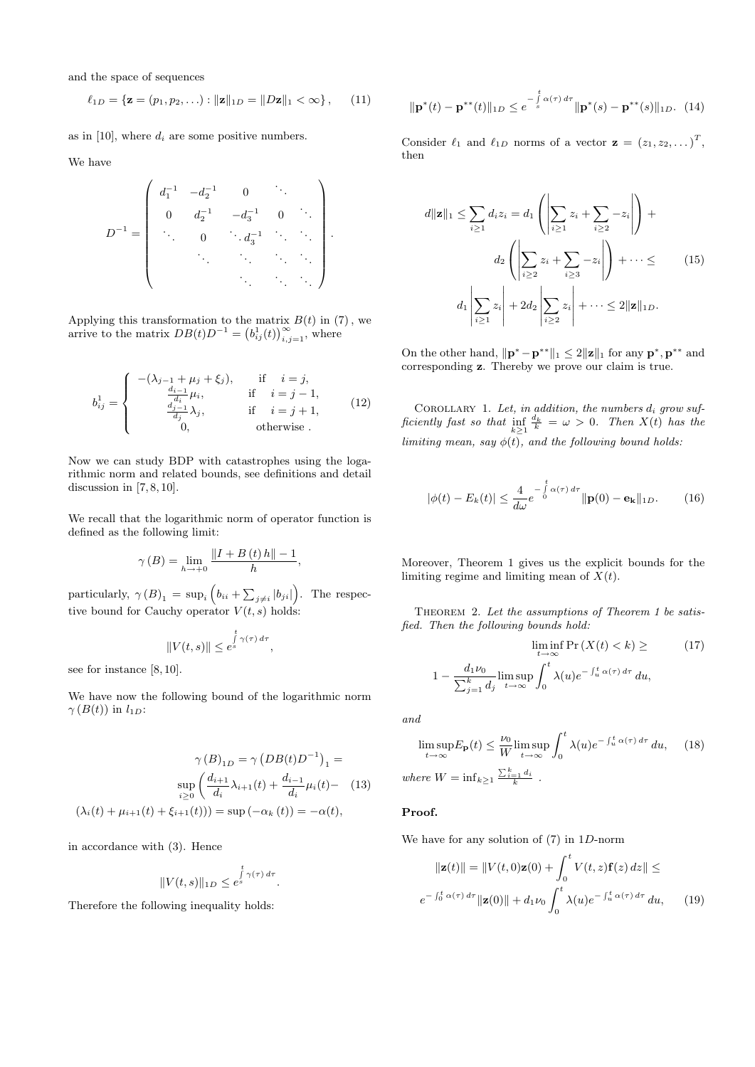and the space of sequences

$$
\ell_{1D} = \{ \mathbf{z} = (p_1, p_2, \ldots) : ||\mathbf{z}||_{1D} = ||D\mathbf{z}||_1 < \infty \}, \qquad (11)
$$

as in [10], where  $d_i$  are some positive numbers.

We have

$$
D^{-1} = \begin{pmatrix} d_1^{-1} & -d_2^{-1} & 0 & \cdots \\ 0 & d_2^{-1} & -d_3^{-1} & 0 & \cdots \\ \vdots & 0 & \ddots & \vdots & \ddots \\ \vdots & \vdots & \ddots & \ddots & \ddots \end{pmatrix}.
$$

Applying this transformation to the matrix  $B(t)$  in (7), we arrive to the matrix  $DB(t)D^{-1} = (b_{ij}^1(t))_{i,j=1}^{\infty}$ , where

$$
b_{ij}^{1} = \begin{cases} -(\lambda_{j-1} + \mu_{j} + \xi_{j}), & \text{if } i = j, \\ \frac{d_{i-1}}{d_{i}} \mu_{i}, & \text{if } i = j - 1, \\ \frac{d_{j-1}}{d_{j}} \lambda_{j}, & \text{if } i = j + 1, \\ 0, & \text{otherwise.} \end{cases}
$$
(12)

Now we can study BDP with catastrophes using the logarithmic norm and related bounds, see definitions and detail discussion in  $[7, 8, 10]$ .

We recall that the logarithmic norm of operator function is defined as the following limit:

$$
\gamma(B) = \lim_{h \to +0} \frac{\|I + B(t)h\| - 1}{h},
$$

particularly,  $\gamma(B)_1 = \sup_i \left( b_{ii} + \sum_{j \neq i} |b_{ji}| \right)$ . The respective bound for Cauchy operator  $V(t, s)$  holds:

$$
||V(t,s)|| \leq e^{\int\limits_{s}^{t} \gamma(\tau) d\tau},
$$

see for instance [8, 10].

We have now the following bound of the logarithmic norm  $\gamma(B(t))$  in  $l_{1D}$ :

$$
\gamma(B)_{1D} = \gamma(DB(t)D^{-1})_1 =
$$
  
\n
$$
\sup_{i\geq 0} \left( \frac{d_{i+1}}{d_i} \lambda_{i+1}(t) + \frac{d_{i-1}}{d_i} \mu_i(t) - (13) \right)
$$
  
\n
$$
(\lambda_i(t) + \mu_{i+1}(t) + \xi_{i+1}(t))) = \sup(-\alpha_k(t)) = -\alpha(t),
$$

in accordance with (3). Hence

$$
||V(t,s)||_{1D} \leq e^{\int\limits_{s}^{t} \gamma(\tau) d\tau}.
$$

Therefore the following inequality holds:

$$
\|\mathbf{p}^*(t) - \mathbf{p}^{**}(t)\|_{1D} \le e^{-\int\limits_{s}^{t} \alpha(\tau) d\tau} \|\mathbf{p}^*(s) - \mathbf{p}^{**}(s)\|_{1D}. \tag{14}
$$

Consider  $\ell_1$  and  $\ell_{1D}$  norms of a vector  $\mathbf{z} = (z_1, z_2, \dots)^T$ , then

$$
d\|\mathbf{z}\|_1 \leq \sum_{i\geq 1} d_i z_i = d_1 \left( \left| \sum_{i\geq 1} z_i + \sum_{i\geq 2} -z_i \right| \right) + d_2 \left( \left| \sum_{i\geq 2} z_i + \sum_{i\geq 3} -z_i \right| \right) + \cdots \leq
$$
\n
$$
d_1 \left| \sum_{i\geq 1} z_i \right| + 2d_2 \left| \sum_{i\geq 2} z_i \right| + \cdots \leq 2 \|\mathbf{z}\|_{1D}.
$$
\n
$$
(15)
$$

On the other hand,  $\|\mathbf{p}^* - \mathbf{p}^{**}\|_1 \leq 2\|\mathbf{z}\|_1$  for any  $\mathbf{p}^*, \mathbf{p}^{**}$  and corresponding z. Thereby we prove our claim is true.

COROLLARY 1. Let, in addition, the numbers  $d_i$  grow sufficiently fast so that  $inf_{k\geq 1}$  $\frac{d_k}{k} = \omega > 0$ . Then  $X(t)$  has the limiting mean, say  $\phi(t)$ , and the following bound holds:

$$
|\phi(t) - E_k(t)| \le \frac{4}{d\omega} e^{-\int\limits_0^t \alpha(\tau) d\tau} ||\mathbf{p}(0) - \mathbf{e_k}||_{1D}.
$$
 (16)

Moreover, Theorem 1 gives us the explicit bounds for the limiting regime and limiting mean of  $X(t)$ .

Theorem 2. Let the assumptions of Theorem 1 be satisfied. Then the following bounds hold:

$$
\liminf_{t \to \infty} \Pr(X(t) < k) \geq \tag{17}
$$
\n
$$
1 - \frac{d_1 \nu_0}{\sum_{j=1}^k d_j} \limsup_{t \to \infty} \int_0^t \lambda(u) e^{-\int_u^t \alpha(\tau) d\tau} du,
$$

and

$$
\limsup_{t \to \infty} E_{\mathbf{p}}(t) \le \frac{\nu_0}{W} \limsup_{t \to \infty} \int_0^t \lambda(u) e^{-\int_u^t \alpha(\tau) d\tau} du, \quad (18)
$$
\n
$$
\text{where } W = \inf_{k \ge 1} \frac{\sum_{i=1}^k d_i}{k}.
$$

#### Proof.

We have for any solution of (7) in 1D-norm

$$
\|\mathbf{z}(t)\| = \|V(t,0)\mathbf{z}(0) + \int_0^t V(t,z)\mathbf{f}(z) dz\| \le
$$
  

$$
e^{-\int_0^t \alpha(\tau) d\tau} \|\mathbf{z}(0)\| + d_1 \nu_0 \int_0^t \lambda(u) e^{-\int_u^t \alpha(\tau) d\tau} du,
$$
 (19)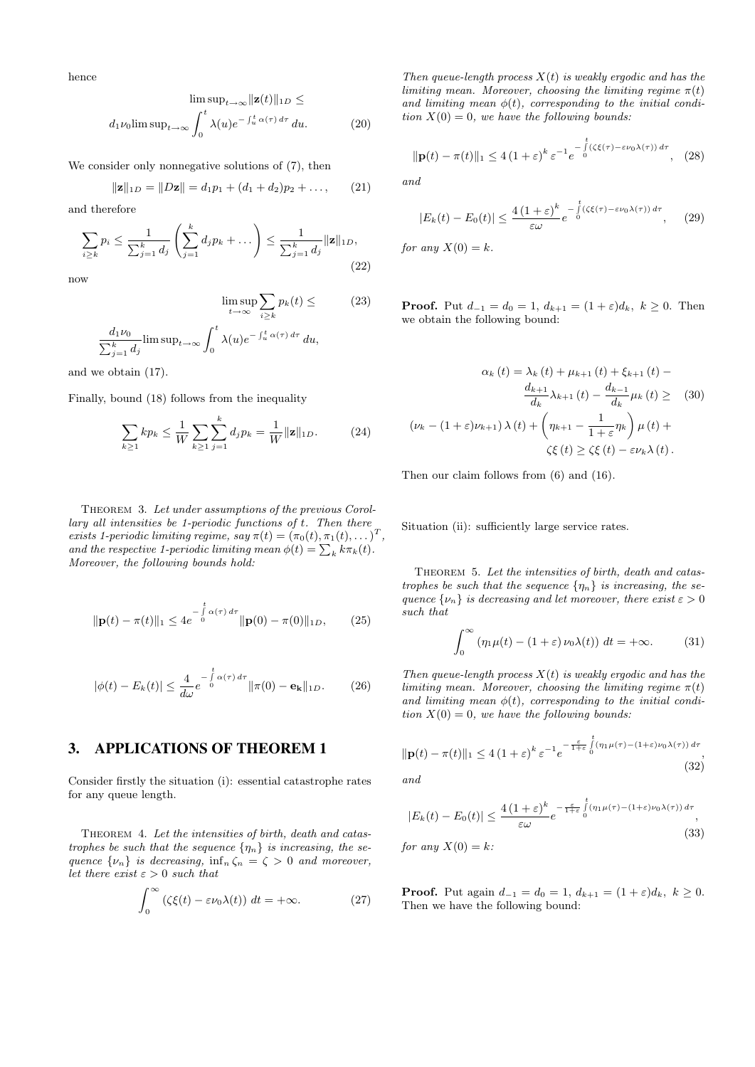hence

$$
\limsup_{t \to \infty} \|\mathbf{z}(t)\|_{1D} \le
$$

$$
d_1 \nu_0 \limsup_{t \to \infty} \int_0^t \lambda(u) e^{-\int_u^t \alpha(\tau) d\tau} du.
$$
 (20)

We consider only nonnegative solutions of (7), then

$$
\|\mathbf{z}\|_{1D} = \|D\mathbf{z}\| = d_1p_1 + (d_1 + d_2)p_2 + \dots,
$$
 (21)

and therefore

$$
\sum_{i\geq k} p_i \leq \frac{1}{\sum_{j=1}^k d_j} \left( \sum_{j=1}^k d_j p_k + \dots \right) \leq \frac{1}{\sum_{j=1}^k d_j} ||\mathbf{z}||_{1D},\tag{22}
$$

now

$$
\limsup_{t \to \infty} \sum_{i \ge k} p_k(t) \le \tag{23}
$$
\n
$$
\frac{d_1 \nu_0}{\sum_{j=1}^k d_j} \limsup_{t \to \infty} \int_0^t \lambda(u) e^{-\int_u^t \alpha(\tau) d\tau} du,
$$

and we obtain (17).

Finally, bound (18) follows from the inequality

$$
\sum_{k\geq 1} k p_k \leq \frac{1}{W} \sum_{k\geq 1} \sum_{j=1}^k d_j p_k = \frac{1}{W} ||\mathbf{z}||_{1D}.
$$
 (24)

THEOREM 3. Let under assumptions of the previous Corollary all intensities be 1-periodic functions of t. Then there exists 1-periodic limiting regime, say  $\pi(t) = (\pi_0(t), \pi_1(t), \dots)^T$ , and the respective 1-periodic limiting mean  $\phi(t) = \sum_{k} k \pi_k(t)$ . Moreover, the following bounds hold:

$$
\|\mathbf{p}(t) - \pi(t)\|_{1} \leq 4e^{-\int_{0}^{t} \alpha(\tau) d\tau} \|\mathbf{p}(0) - \pi(0)\|_{1D}, \qquad (25)
$$

$$
|\phi(t) - E_k(t)| \le \frac{4}{d\omega} e^{-\int\limits_0^t \alpha(\tau) d\tau} ||\pi(0) - \mathbf{e_k}||_{1D}.
$$
 (26)

#### 3. APPLICATIONS OF THEOREM 1

Consider firstly the situation (i): essential catastrophe rates for any queue length.

THEOREM 4. Let the intensities of birth, death and catastrophes be such that the sequence  $\{\eta_n\}$  is increasing, the sequence  $\{\nu_n\}$  is decreasing,  $\inf_n \zeta_n = \zeta > 0$  and moreover, let there exist  $\varepsilon > 0$  such that

$$
\int_0^\infty \left(\zeta \xi(t) - \varepsilon \nu_0 \lambda(t)\right) dt = +\infty. \tag{27}
$$

Then queue-length process  $X(t)$  is weakly ergodic and has the limiting mean. Moreover, choosing the limiting regime  $\pi(t)$ and limiting mean  $\phi(t)$ , corresponding to the initial condition  $X(0) = 0$ , we have the following bounds:

$$
\|\mathbf{p}(t)-\pi(t)\|_{1} \leq 4\left(1+\varepsilon\right)^{k}\varepsilon^{-1}e^{-\int\limits_{0}^{t}(\zeta\xi(\tau)-\varepsilon\nu_{0}\lambda(\tau))\,d\tau},\quad(28)
$$

and

$$
|E_k(t) - E_0(t)| \le \frac{4\left(1+\varepsilon\right)^k}{\varepsilon \omega} e^{-\int\limits_0^t (\zeta \xi(\tau) - \varepsilon \nu_0 \lambda(\tau)) d\tau}, \quad (29)
$$

for any  $X(0) = k$ .

**Proof.** Put  $d_{-1} = d_0 = 1$ ,  $d_{k+1} = (1 + \varepsilon)d_k$ ,  $k \ge 0$ . Then we obtain the following bound:

$$
\alpha_{k}(t) = \lambda_{k}(t) + \mu_{k+1}(t) + \xi_{k+1}(t) -
$$

$$
\frac{d_{k+1}}{d_{k}} \lambda_{k+1}(t) - \frac{d_{k-1}}{d_{k}} \mu_{k}(t) \geq (30)
$$

$$
(\nu_{k} - (1+\varepsilon)\nu_{k+1})\lambda(t) + \left(\eta_{k+1} - \frac{1}{1+\varepsilon}\eta_{k}\right)\mu(t) +
$$

$$
\zeta\xi(t) \geq \zeta\xi(t) - \varepsilon\nu_{k}\lambda(t).
$$

Then our claim follows from (6) and (16).

Situation (ii): sufficiently large service rates.

THEOREM 5. Let the intensities of birth, death and catastrophes be such that the sequence  $\{\eta_n\}$  is increasing, the sequence  $\{\nu_n\}$  is decreasing and let moreover, there exist  $\varepsilon > 0$ such that

$$
\int_0^\infty \left(\eta_1 \mu(t) - (1+\varepsilon) \nu_0 \lambda(t)\right) dt = +\infty.
$$
 (31)

Then queue-length process  $X(t)$  is weakly ergodic and has the limiting mean. Moreover, choosing the limiting regime  $\pi(t)$ and limiting mean  $\phi(t)$ , corresponding to the initial condition  $X(0) = 0$ , we have the following bounds:

$$
\|\mathbf{p}(t)-\pi(t)\|_{1} \leq 4\left(1+\varepsilon\right)^{k}\varepsilon^{-1}e^{-\frac{\varepsilon}{1+\varepsilon}\int_{0}^{t}(\eta_{1}\mu(\tau)-(1+\varepsilon)\nu_{0}\lambda(\tau))\,d\tau},\tag{32}
$$

and

$$
|E_k(t) - E_0(t)| \le \frac{4\left(1+\varepsilon\right)^k}{\varepsilon \omega} e^{-\frac{\varepsilon}{1+\varepsilon} \int_0^t (\eta_1 \mu(\tau) - (1+\varepsilon)\nu_0 \lambda(\tau)) d\tau},
$$
  
for any  $X(0) = k$ : (33)

**Proof.** Put again  $d_{-1} = d_0 = 1$ ,  $d_{k+1} = (1 + \varepsilon)d_k$ ,  $k \geq 0$ . Then we have the following bound: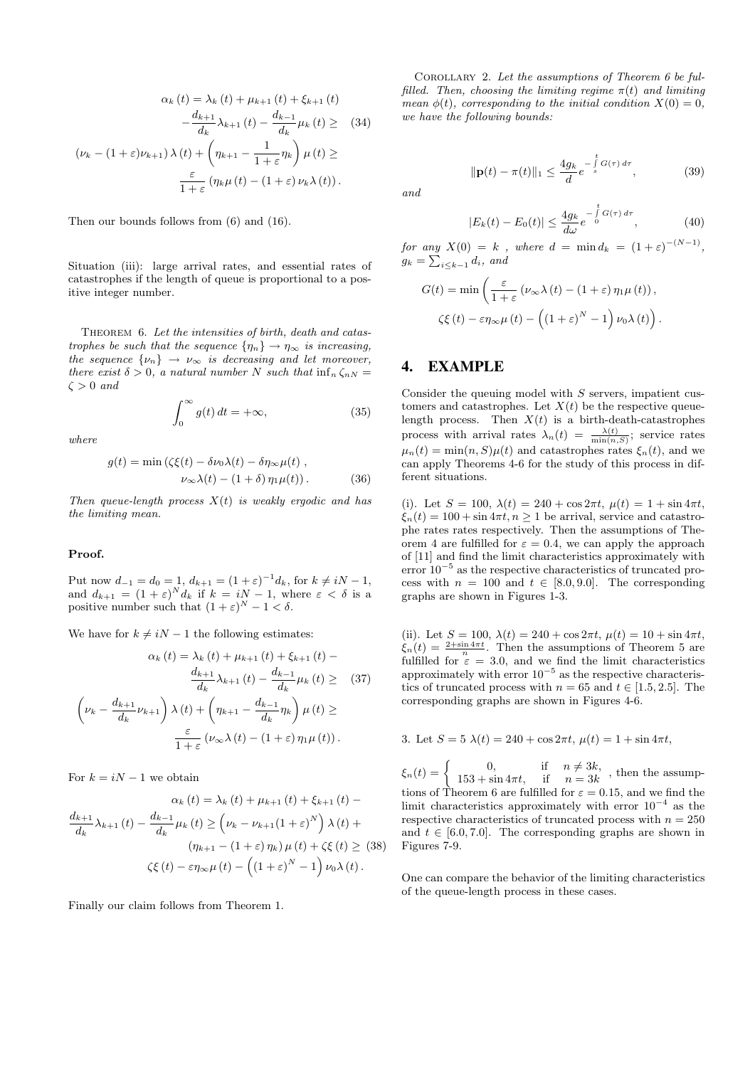$$
\alpha_{k}(t) = \lambda_{k}(t) + \mu_{k+1}(t) + \xi_{k+1}(t)
$$

$$
-\frac{d_{k+1}}{d_{k}}\lambda_{k+1}(t) - \frac{d_{k-1}}{d_{k}}\mu_{k}(t) \geq (34)
$$

$$
(\nu_{k} - (1+\varepsilon)\nu_{k+1})\lambda(t) + \left(\eta_{k+1} - \frac{1}{1+\varepsilon}\eta_{k}\right)\mu(t) \geq \frac{\varepsilon}{1+\varepsilon}(\eta_{k}\mu(t) - (1+\varepsilon)\nu_{k}\lambda(t)).
$$

Then our bounds follows from (6) and (16).

Situation (iii): large arrival rates, and essential rates of catastrophes if the length of queue is proportional to a positive integer number.

THEOREM 6. Let the intensities of birth, death and catastrophes be such that the sequence  $\{\eta_n\} \to \eta_\infty$  is increasing, the sequence  $\{\nu_n\} \rightarrow \nu_{\infty}$  is decreasing and let moreover, there exist  $\delta > 0$ , a natural number N such that  $\inf_n \zeta_{nN} =$  $\zeta > 0$  and

$$
\int_0^\infty g(t) \, dt = +\infty,\tag{35}
$$

where

$$
g(t) = \min\left(\zeta\xi(t) - \delta\nu_0\lambda(t) - \delta\eta_\infty\mu(t)\right),
$$
  

$$
\nu_\infty\lambda(t) - (1+\delta)\eta_1\mu(t)\right).
$$
 (36)

Then queue-length process  $X(t)$  is weakly ergodic and has the limiting mean.

#### Proof.

Put now  $d_{-1} = d_0 = 1$ ,  $d_{k+1} = (1 + \varepsilon)^{-1} d_k$ , for  $k \neq iN - 1$ , and  $d_{k+1} = (1+\varepsilon)^N d_k$  if  $k = iN-1$ , where  $\varepsilon < \delta$  is a positive number such that  $(1+\varepsilon)^N - 1 < \delta$ .

We have for  $k \neq iN - 1$  the following estimates:

$$
\alpha_{k}(t) = \lambda_{k}(t) + \mu_{k+1}(t) + \xi_{k+1}(t) -
$$

$$
\frac{d_{k+1}}{d_{k}} \lambda_{k+1}(t) - \frac{d_{k-1}}{d_{k}} \mu_{k}(t) \geq (37)
$$

$$
\left(\nu_{k} - \frac{d_{k+1}}{d_{k}} \nu_{k+1}\right) \lambda(t) + \left(\eta_{k+1} - \frac{d_{k-1}}{d_{k}} \eta_{k}\right) \mu(t) \geq
$$

$$
\frac{\varepsilon}{1+\varepsilon} \left(\nu_{\infty} \lambda(t) - (1+\varepsilon) \eta_{1} \mu(t)\right).
$$

For  $k = iN - 1$  we obtain

$$
\alpha_{k}(t) = \lambda_{k}(t) + \mu_{k+1}(t) + \xi_{k+1}(t) -
$$

$$
\frac{d_{k+1}}{d_{k}}\lambda_{k+1}(t) - \frac{d_{k-1}}{d_{k}}\mu_{k}(t) \geq \left(\nu_{k} - \nu_{k+1}(1+\varepsilon)^{N}\right)\lambda(t) +
$$

$$
(\eta_{k+1} - (1+\varepsilon)\eta_{k})\mu(t) + \zeta\xi(t) \geq (38)
$$

$$
\zeta\xi(t) - \varepsilon\eta_{\infty}\mu(t) - \left((1+\varepsilon)^{N} - 1\right)\nu_{0}\lambda(t).
$$

Finally our claim follows from Theorem 1.

Corollary 2. Let the assumptions of Theorem 6 be fulfilled. Then, choosing the limiting regime  $\pi(t)$  and limiting mean  $\phi(t)$ , corresponding to the initial condition  $X(0) = 0$ . we have the following bounds:

> $\|\mathbf{p}(t) - \pi(t)\|_1 \leq \frac{4g_k}{l}$  $\frac{dg_k}{d}e^{-\int\limits_s^t G(\tau)\,d\tau}$  $(39)$

and

$$
|E_k(t) - E_0(t)| \le \frac{4g_k}{d\omega} e^{-\int\limits_0^t G(\tau) d\tau}, \tag{40}
$$

for any  $X(0) = k$ , where  $d = \min d_k = (1 + \varepsilon)^{-(N-1)}$ ,  $g_k = \sum_{i \leq k-1} d_i$ , and

$$
G(t) = \min\left(\frac{\varepsilon}{1+\varepsilon}\left(\nu_{\infty}\lambda\left(t\right) - \left(1+\varepsilon\right)\eta_{1}\mu\left(t\right)\right),\right.
$$

$$
\zeta\xi\left(t\right) - \varepsilon\eta_{\infty}\mu\left(t\right) - \left(\left(1+\varepsilon\right)^{N} - 1\right)\nu_{0}\lambda\left(t\right)\right).
$$

## 4. EXAMPLE

Consider the queuing model with  $S$  servers, impatient customers and catastrophes. Let  $X(t)$  be the respective queuelength process. Then  $X(t)$  is a birth-death-catastrophes process with arrival rates  $\lambda_n(t) = \frac{\lambda(t)}{\min(n, S)}$ ; service rates  $\mu_n(t) = \min(n, S)\mu(t)$  and catastrophes rates  $\xi_n(t)$ , and we can apply Theorems 4-6 for the study of this process in different situations.

(i). Let  $S = 100$ ,  $\lambda(t) = 240 + \cos 2\pi t$ ,  $\mu(t) = 1 + \sin 4\pi t$ ,  $\xi_n(t) = 100 + \sin 4\pi t, n \ge 1$  be arrival, service and catastrophe rates rates respectively. Then the assumptions of Theorem 4 are fulfilled for  $\varepsilon = 0.4$ , we can apply the approach of [11] and find the limit characteristics approximately with error 10<sup>−</sup><sup>5</sup> as the respective characteristics of truncated process with  $n = 100$  and  $t \in [8.0, 9.0]$ . The corresponding graphs are shown in Figures 1-3.

(ii). Let  $S = 100$ ,  $\lambda(t) = 240 + \cos 2\pi t$ ,  $\mu(t) = 10 + \sin 4\pi t$ ,  $\xi_n(t) = \frac{2+\sin 4\pi t}{n}$ . Then the assumptions of Theorem 5 are fulfilled for  $\varepsilon = 3.0$ , and we find the limit characteristics approximately with error  $10^{-5}$  as the respective characteristics of truncated process with  $n = 65$  and  $t \in [1.5, 2.5]$ . The corresponding graphs are shown in Figures 4-6.

3. Let 
$$
S = 5 \lambda(t) = 240 + \cos 2\pi t
$$
,  $\mu(t) = 1 + \sin 4\pi t$ ,

 $\xi_n(t) = \begin{cases} 0, & \text{if } n \neq 3k, \\ 153 + \sin 4\pi t, & \text{if } n = 3k, \end{cases}$  $153 + \sin 4\pi t$ , if  $n = 3k$ , then the assumptions of Theorem 6 are fulfilled for  $\varepsilon = 0.15$ , and we find the limit characteristics approximately with error  $10^{-4}$  as the respective characteristics of truncated process with  $n = 250$ and  $t \in [6.0, 7.0]$ . The corresponding graphs are shown in Figures 7-9.

One can compare the behavior of the limiting characteristics of the queue-length process in these cases.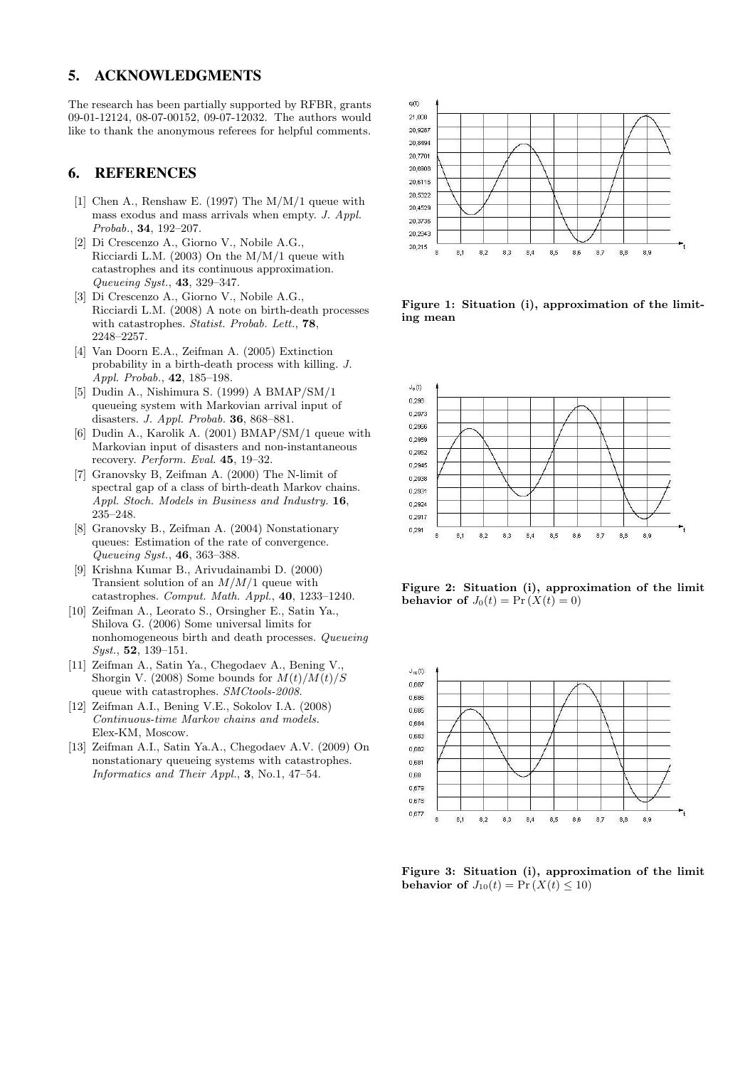### 5. ACKNOWLEDGMENTS

The research has been partially supported by RFBR, grants 09-01-12124, 08-07-00152, 09-07-12032. The authors would like to thank the anonymous referees for helpful comments.

# 6. REFERENCES

- [1] Chen A., Renshaw E. (1997) The M/M/1 queue with mass exodus and mass arrivals when empty. J. Appl. Probab., 34, 192–207.
- [2] Di Crescenzo A., Giorno V., Nobile A.G., Ricciardi L.M. (2003) On the M/M/1 queue with catastrophes and its continuous approximation. Queueing Syst., 43, 329–347.
- [3] Di Crescenzo A., Giorno V., Nobile A.G., Ricciardi L.M. (2008) A note on birth-death processes with catastrophes. Statist. Probab. Lett., 78, 2248–2257.
- [4] Van Doorn E.A., Zeifman A. (2005) Extinction probability in a birth-death process with killing. J. Appl. Probab., 42, 185–198.
- [5] Dudin A., Nishimura S. (1999) A BMAP/SM/1 queueing system with Markovian arrival input of disasters. J. Appl. Probab. 36, 868–881.
- [6] Dudin A., Karolik A. (2001) BMAP/SM/1 queue with Markovian input of disasters and non-instantaneous recovery. Perform. Eval. 45, 19–32.
- [7] Granovsky B, Zeifman A. (2000) The N-limit of spectral gap of a class of birth-death Markov chains. Appl. Stoch. Models in Business and Industry. 16, 235–248.
- [8] Granovsky B., Zeifman A. (2004) Nonstationary queues: Estimation of the rate of convergence. Queueing Syst., 46, 363–388.
- [9] Krishna Kumar B., Arivudainambi D. (2000) Transient solution of an  $M/M/1$  queue with catastrophes. Comput. Math. Appl., 40, 1233–1240.
- [10] Zeifman A., Leorato S., Orsingher E., Satin Ya., Shilova G. (2006) Some universal limits for nonhomogeneous birth and death processes. Queueing Syst., 52, 139–151.
- [11] Zeifman A., Satin Ya., Chegodaev A., Bening V., Shorgin V. (2008) Some bounds for  $M(t)/M(t)/S$ queue with catastrophes. SMCtools-2008.
- [12] Zeifman A.I., Bening V.E., Sokolov I.A. (2008) Continuous-time Markov chains and models. Elex-KM, Moscow.
- [13] Zeifman A.I., Satin Ya.A., Chegodaev A.V. (2009) On nonstationary queueing systems with catastrophes. Informatics and Their Appl., 3, No.1, 47–54.



Figure 1: Situation (i), approximation of the limiting mean



Figure 2: Situation (i), approximation of the limit behavior of  $J_0(t) = Pr(X(t) = 0)$ 



Figure 3: Situation (i), approximation of the limit behavior of  $J_{10}(t) = Pr(X(t) \leq 10)$